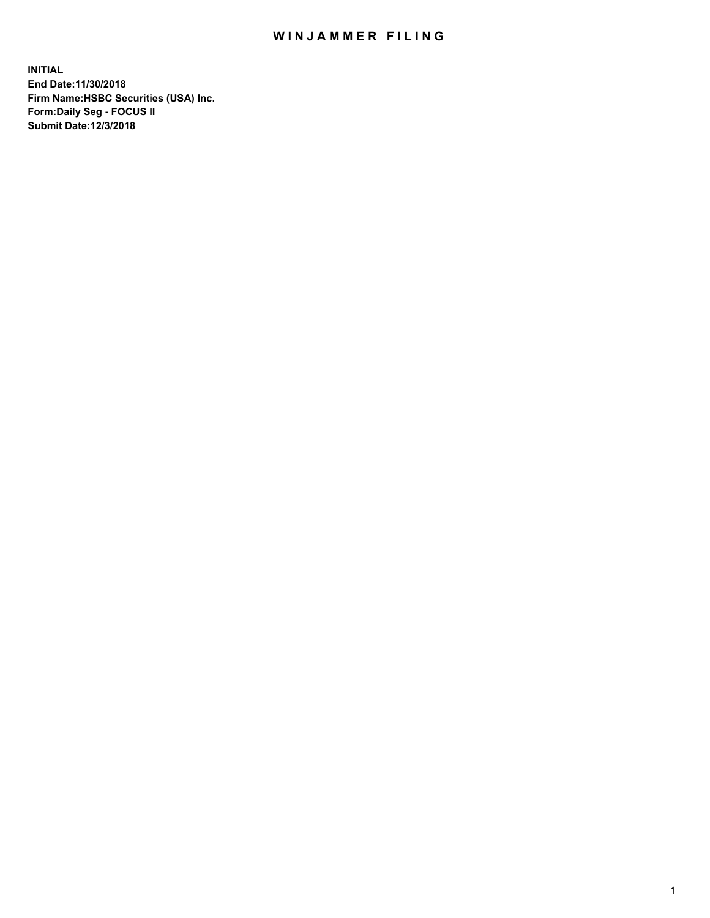## WIN JAMMER FILING

**INITIAL End Date:11/30/2018 Firm Name:HSBC Securities (USA) Inc. Form:Daily Seg - FOCUS II Submit Date:12/3/2018**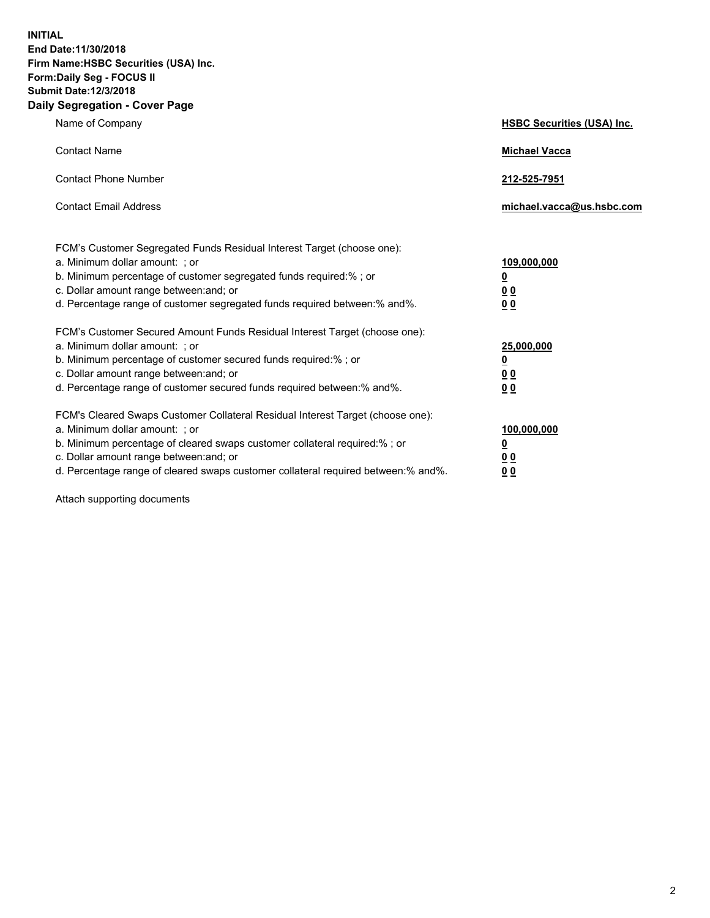**INITIAL End Date:11/30/2018 Firm Name:HSBC Securities (USA) Inc. Form:Daily Seg - FOCUS II Submit Date:12/3/2018 Daily Segregation - Cover Page**

| Name of Company                                                                                                                                                                                                                                                                                                                | <b>HSBC Securities (USA) Inc.</b>                          |
|--------------------------------------------------------------------------------------------------------------------------------------------------------------------------------------------------------------------------------------------------------------------------------------------------------------------------------|------------------------------------------------------------|
| <b>Contact Name</b>                                                                                                                                                                                                                                                                                                            | <b>Michael Vacca</b>                                       |
| <b>Contact Phone Number</b>                                                                                                                                                                                                                                                                                                    | 212-525-7951                                               |
| <b>Contact Email Address</b>                                                                                                                                                                                                                                                                                                   | michael.vacca@us.hsbc.com                                  |
| FCM's Customer Segregated Funds Residual Interest Target (choose one):<br>a. Minimum dollar amount: ; or<br>b. Minimum percentage of customer segregated funds required:% ; or<br>c. Dollar amount range between: and; or<br>d. Percentage range of customer segregated funds required between:% and%.                         | 109,000,000<br>₫<br>0 <sub>0</sub><br>0 <sub>0</sub>       |
| FCM's Customer Secured Amount Funds Residual Interest Target (choose one):<br>a. Minimum dollar amount: ; or<br>b. Minimum percentage of customer secured funds required:% ; or<br>c. Dollar amount range between: and; or<br>d. Percentage range of customer secured funds required between: % and %.                         | 25,000,000<br><u>0</u><br>0 <sub>0</sub><br>0 <sub>0</sub> |
| FCM's Cleared Swaps Customer Collateral Residual Interest Target (choose one):<br>a. Minimum dollar amount: ; or<br>b. Minimum percentage of cleared swaps customer collateral required:% ; or<br>c. Dollar amount range between: and; or<br>d. Percentage range of cleared swaps customer collateral required between:% and%. | 100,000,000<br><u>0</u><br><u>00</u><br>00                 |

Attach supporting documents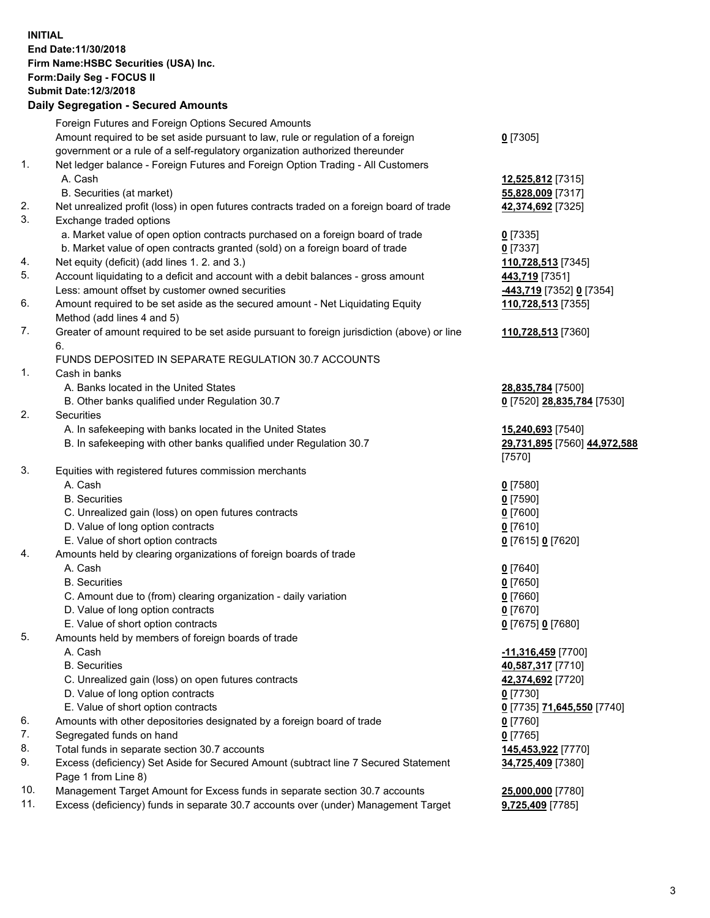**INITIAL End Date:11/30/2018 Firm Name:HSBC Securities (USA) Inc. Form:Daily Seg - FOCUS II Submit Date:12/3/2018 Daily Segregation - Secured Amounts** Foreign Futures and Foreign Options Secured Amounts Amount required to be set aside pursuant to law, rule or regulation of a foreign government or a rule of a self-regulatory organization authorized thereunder **0** [7305] 1. Net ledger balance - Foreign Futures and Foreign Option Trading - All Customers A. Cash **12,525,812** [7315] B. Securities (at market) **55,828,009** [7317] 2. Net unrealized profit (loss) in open futures contracts traded on a foreign board of trade **42,374,692** [7325] 3. Exchange traded options a. Market value of open option contracts purchased on a foreign board of trade **0** [7335] b. Market value of open contracts granted (sold) on a foreign board of trade **0** [7337] 4. Net equity (deficit) (add lines 1. 2. and 3.) **110,728,513** [7345] 5. Account liquidating to a deficit and account with a debit balances - gross amount **443,719** [7351] Less: amount offset by customer owned securities **-443,719** [7352] **0** [7354] 6. Amount required to be set aside as the secured amount - Net Liquidating Equity Method (add lines 4 and 5) **110,728,513** [7355] 7. Greater of amount required to be set aside pursuant to foreign jurisdiction (above) or line 6. **110,728,513** [7360] FUNDS DEPOSITED IN SEPARATE REGULATION 30.7 ACCOUNTS 1. Cash in banks A. Banks located in the United States **28,835,784** [7500] B. Other banks qualified under Regulation 30.7 **0** [7520] **28,835,784** [7530] 2. Securities A. In safekeeping with banks located in the United States **15,240,693** [7540] B. In safekeeping with other banks qualified under Regulation 30.7 **29,731,895** [7560] **44,972,588** [7570] 3. Equities with registered futures commission merchants A. Cash **0** [7580] B. Securities **0** [7590] C. Unrealized gain (loss) on open futures contracts **0** [7600] D. Value of long option contracts **0** [7610] E. Value of short option contracts **0** [7615] **0** [7620] 4. Amounts held by clearing organizations of foreign boards of trade A. Cash **0** [7640] B. Securities **0** [7650] C. Amount due to (from) clearing organization - daily variation **0** [7660] D. Value of long option contracts **0** [7670] E. Value of short option contracts **0** [7675] **0** [7680] 5. Amounts held by members of foreign boards of trade A. Cash **-11,316,459** [7700] B. Securities **40,587,317** [7710] C. Unrealized gain (loss) on open futures contracts **42,374,692** [7720] D. Value of long option contracts **0** [7730] E. Value of short option contracts **0** [7735] **71,645,550** [7740] 6. Amounts with other depositories designated by a foreign board of trade **0** [7760] 7. Segregated funds on hand **0** [7765] 8. Total funds in separate section 30.7 accounts **145,453,922** [7770] 9. Excess (deficiency) Set Aside for Secured Amount (subtract line 7 Secured Statement Page 1 from Line 8) **34,725,409** [7380] 10. Management Target Amount for Excess funds in separate section 30.7 accounts **25,000,000** [7780]

11. Excess (deficiency) funds in separate 30.7 accounts over (under) Management Target **9,725,409** [7785]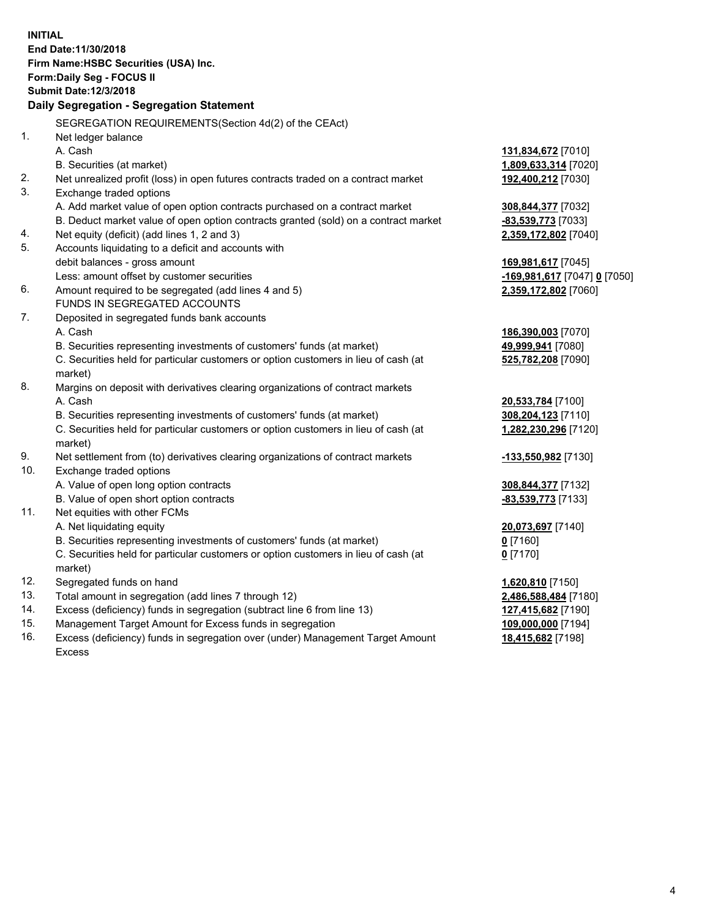|     | <b>INITIAL</b>                                                                                 |                              |
|-----|------------------------------------------------------------------------------------------------|------------------------------|
|     | End Date:11/30/2018                                                                            |                              |
|     | Firm Name: HSBC Securities (USA) Inc.                                                          |                              |
|     | <b>Form:Daily Seg - FOCUS II</b>                                                               |                              |
|     | <b>Submit Date: 12/3/2018</b>                                                                  |                              |
|     | Daily Segregation - Segregation Statement                                                      |                              |
|     |                                                                                                |                              |
|     | SEGREGATION REQUIREMENTS (Section 4d(2) of the CEAct)                                          |                              |
| 1.  | Net ledger balance                                                                             |                              |
|     | A. Cash                                                                                        | <u>131,834,672</u> [7010]    |
|     | B. Securities (at market)                                                                      | <u>1,809,633,314</u> [7020]  |
| 2.  | Net unrealized profit (loss) in open futures contracts traded on a contract market             | 192,400,212 [7030]           |
| 3.  | Exchange traded options                                                                        |                              |
|     | A. Add market value of open option contracts purchased on a contract market                    | 308,844,377 [7032]           |
|     | B. Deduct market value of open option contracts granted (sold) on a contract market            | <u>-83,539,773</u> [7033]    |
| 4.  | Net equity (deficit) (add lines 1, 2 and 3)                                                    | <u>2,359,172,802</u> [7040]  |
| 5.  | Accounts liquidating to a deficit and accounts with                                            |                              |
|     | debit balances - gross amount                                                                  | <u>169,981,617</u> [7045]    |
|     | Less: amount offset by customer securities                                                     | -169,981,617 [7047] 0 [7050] |
| 6.  | Amount required to be segregated (add lines 4 and 5)                                           | 2,359,172,802 [7060]         |
|     | <b>FUNDS IN SEGREGATED ACCOUNTS</b>                                                            |                              |
| 7.  | Deposited in segregated funds bank accounts                                                    |                              |
|     | A. Cash                                                                                        | 186,390,003 [7070]           |
|     | B. Securities representing investments of customers' funds (at market)                         | 49,999,941 [7080]            |
|     | C. Securities held for particular customers or option customers in lieu of cash (at<br>market) | 525,782,208 [7090]           |
| 8.  | Margins on deposit with derivatives clearing organizations of contract markets                 |                              |
|     | A. Cash                                                                                        | 20,533,784 [7100]            |
|     | B. Securities representing investments of customers' funds (at market)                         | 308,204,123 [7110]           |
|     | C. Securities held for particular customers or option customers in lieu of cash (at            | <u>1,282,230,296</u> [7120]  |
|     | market)                                                                                        |                              |
| 9.  | Net settlement from (to) derivatives clearing organizations of contract markets                | -133,550,982 [7130]          |
| 10. | Exchange traded options                                                                        |                              |
|     | A. Value of open long option contracts                                                         | 308,844,377 [7132]           |
|     | B. Value of open short option contracts                                                        | -83,539,773 [7133]           |
| 11. | Net equities with other FCMs                                                                   |                              |
|     | A. Net liquidating equity                                                                      | 20,073,697 [7140]            |
|     | B. Securities representing investments of customers' funds (at market)                         | $0$ [7160]                   |
|     | C. Securities held for particular customers or option customers in lieu of cash (at            | $0$ [7170]                   |
|     | market)                                                                                        |                              |
| 12. | Segregated funds on hand                                                                       | <u>1,620,810</u> [7150]      |
| 13. | Total amount in segregation (add lines 7 through 12)                                           | 2,486,588,484 [7180]         |
| 14. | Excess (deficiency) funds in segregation (subtract line 6 from line 13)                        | <u>127,415,682</u> [7190]    |
| 15. | Management Target Amount for Excess funds in segregation                                       | 109,000,000 [7194]           |
|     |                                                                                                |                              |

16. Excess (deficiency) funds in segregation over (under) Management Target Amount Excess

**18,415,682** [7198]